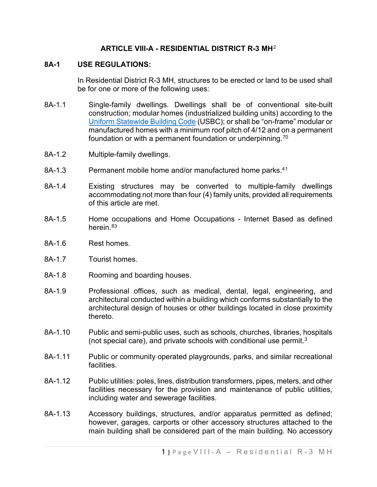## **ARTICLE VIII-A - RESIDENTIAL DISTRICT R-3 MH**[2](#page-6-0)

### **8A-1 USE REGULATIONS:**

In Residential District R-3 MH, structures to be erected or land to be used shall be for one or more of the following uses:

- 8A-1.1 Single-family dwellings. Dwellings shall be of conventional site-built construction; modular homes (industrialized building units) according to the [Uniform Statewide Building Code](https://law.lis.virginia.gov/vacode/title36/chapter6/) (USBC); or shall be "on-frame" modular or manufactured homes with a minimum roof pitch of 4/12 and on a permanent foundation or with a permanent foundation or underpinning.[70](#page-6-1)
- 8A-1.2 Multiple-family dwellings.
- 8A-[1](#page-6-2).3 Permanent mobile home and/or manufactured home parks.<sup>41</sup>
- 8A-1.4 Existing structures may be converted to multiple-family dwellings accommodating not more than four (4) family units, provided all requirements of this article are met.
- 8A-1.5 Home occupations and Home Occupations Internet Based as defined herein.<sup>[83](#page-6-3)</sup>
- 8A-1.6 Rest homes.
- 8A-1.7 Tourist homes.
- 8A-1.8 Rooming and boarding houses.
- 8A-1.9 Professional offices, such as medical, dental, legal, engineering, and architectural conducted within a building which conforms substantially to the architectural design of houses or other buildings located in close proximity thereto.
- 8A-1.10 Public and semi-public uses, such as schools, churches, libraries, hospitals (not special care), and private schools with conditional use permit.[3](#page-6-4)
- 8A-1.11 Public or community operated playgrounds, parks, and similar recreational facilities.
- 8A-1.12 Public utilities: poles, lines, distribution transformers, pipes, meters, and other facilities necessary for the provision and maintenance of public utilities, including water and sewerage facilities.
- 8A-1.13 Accessory buildings, structures, and/or apparatus permitted as defined; however, garages, carports or other accessory structures attached to the main building shall be considered part of the main building. No accessory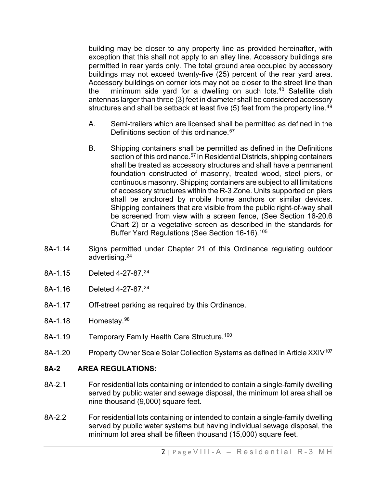building may be closer to any property line as provided hereinafter, with exception that this shall not apply to an alley line. Accessory buildings are permitted in rear yards only. The total ground area occupied by accessory buildings may not exceed twenty-five (25) percent of the rear yard area. Accessory buildings on corner lots may not be closer to the street line than the minimum side yard for a dwelling on such lots.<sup>[40](#page-6-5)</sup> Satellite dish antennas larger than three (3) feet in diameter shall be considered accessory structures and shall be setback at least five  $(5)$  feet from the property line.<sup>[49](#page-6-6)</sup>

- A. Semi-trailers which are licensed shall be permitted as defined in the Definitions section of this ordinance.<sup>[57](#page-6-7)</sup>
- B. Shipping containers shall be permitted as defined in the Definitions section of this ordinance.<sup>[57](#page-6-8)</sup> In Residential Districts, shipping containers shall be treated as accessory structures and shall have a permanent foundation constructed of masonry, treated wood, steel piers, or continuous masonry. Shipping containers are subject to all limitations of accessory structures within the R-3 Zone. Units supported on piers shall be anchored by mobile home anchors or similar devices. Shipping containers that are visible from the public right-of-way shall be screened from view with a screen fence, (See Section 16-20.6 Chart 2) or a vegetative screen as described in the standards for Buffer Yard Regulations (See Section 16-16).[105](#page-6-9)
- 8A-1.14 Signs permitted under Chapter 21 of this Ordinance regulating outdoor advertising.2[4](#page-6-10)
- 8A-1.15 Deleted 4-27-87.2[4](#page-6-11)
- 8A-1.16 Deleted 4-27-87.2[4](#page-6-12)
- 8A-1.17 Off-street parking as required by this Ordinance.
- 8A-1.18 Homestay.<sup>[98](#page-6-13)</sup>
- 8A-1.19 Temporary Family Health Care Structure.<sup>[100](#page-6-14)</sup>
- 8A-1.20 Property Owner Scale Solar Collection Systems as defined in Article XXIV<sup>[107](#page-6-15)</sup>

### **8A-2 AREA REGULATIONS:**

- 8A-2.1 For residential lots containing or intended to contain a single-family dwelling served by public water and sewage disposal, the minimum lot area shall be nine thousand (9,000) square feet.
- 8A-2.2 For residential lots containing or intended to contain a single-family dwelling served by public water systems but having individual sewage disposal, the minimum lot area shall be fifteen thousand (15,000) square feet.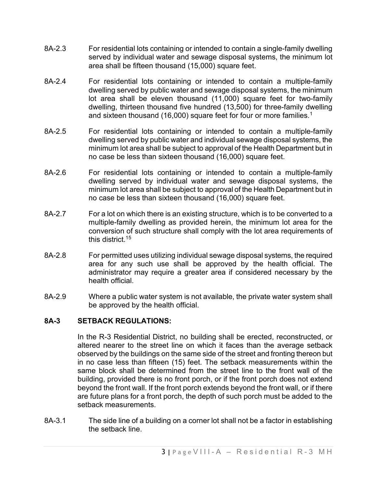- 8A-2.3 For residential lots containing or intended to contain a single-family dwelling served by individual water and sewage disposal systems, the minimum lot area shall be fifteen thousand (15,000) square feet.
- 8A-2.4 For residential lots containing or intended to contain a multiple-family dwelling served by public water and sewage disposal systems, the minimum lot area shall be eleven thousand (11,000) square feet for two-family dwelling, thirteen thousand five hundred (13,500) for three-family dwelling and sixteen thousand (16,000) square feet for four or more families.<sup>1</sup>
- 8A-2.5 For residential lots containing or intended to contain a multiple-family dwelling served by public water and individual sewage disposal systems, the minimum lot area shall be subject to approval of the Health Department but in no case be less than sixteen thousand (16,000) square feet.
- 8A-2.6 For residential lots containing or intended to contain a multiple-family dwelling served by individual water and sewage disposal systems, the minimum lot area shall be subject to approval of the Health Department but in no case be less than sixteen thousand (16,000) square feet.
- 8A-2.7 For a lot on which there is an existing structure, which is to be converted to a multiple-family dwelling as provided herein, the minimum lot area for the conversion of such structure shall comply with the lot area requirements of this district.1[5](#page-6-17)
- 8A-2.8 For permitted uses utilizing individual sewage disposal systems, the required area for any such use shall be approved by the health official. The administrator may require a greater area if considered necessary by the health official.
- 8A-2.9 Where a public water system is not available, the private water system shall be approved by the health official.

## **8A-3 SETBACK REGULATIONS:**

In the R-3 Residential District, no building shall be erected, reconstructed, or altered nearer to the street line on which it faces than the average setback observed by the buildings on the same side of the street and fronting thereon but in no case less than fifteen (15) feet. The setback measurements within the same block shall be determined from the street line to the front wall of the building, provided there is no front porch, or if the front porch does not extend beyond the front wall. If the front porch extends beyond the front wall, or if there are future plans for a front porch, the depth of such porch must be added to the setback measurements.

8A-3.1 The side line of a building on a corner lot shall not be a factor in establishing the setback line.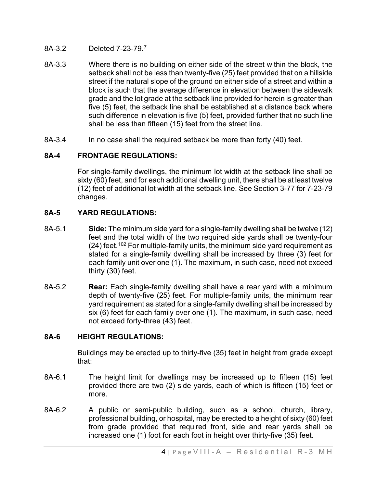- 8A-3.2 Deleted 7-23-79.[7](#page-6-18)
- 8A-3.3 Where there is no building on either side of the street within the block, the setback shall not be less than twenty-five (25) feet provided that on a hillside street if the natural slope of the ground on either side of a street and within a block is such that the average difference in elevation between the sidewalk grade and the lot grade at the setback line provided for herein is greater than five (5) feet, the setback line shall be established at a distance back where such difference in elevation is five (5) feet, provided further that no such line shall be less than fifteen (15) feet from the street line.
- 8A-3.4 In no case shall the required setback be more than forty (40) feet.

# **8A-4 FRONTAGE REGULATIONS:**

For single-family dwellings, the minimum lot width at the setback line shall be sixty (60) feet, and for each additional dwelling unit, there shall be at least twelve (12) feet of additional lot width at the setback line. See Section 3-77 for 7-23-79 changes.

# **8A-5 YARD REGULATIONS:**

- 8A-5.1 **Side:** The minimum side yard for a single-family dwelling shall be twelve (12) feet and the total width of the two required side yards shall be twenty-four  $(24)$  feet.<sup>[102](#page-6-19)</sup> For multiple-family units, the minimum side yard requirement as stated for a single-family dwelling shall be increased by three (3) feet for each family unit over one (1). The maximum, in such case, need not exceed thirty (30) feet.
- 8A-5.2 **Rear:** Each single-family dwelling shall have a rear yard with a minimum depth of twenty-five (25) feet. For multiple-family units, the minimum rear yard requirement as stated for a single-family dwelling shall be increased by six (6) feet for each family over one (1). The maximum, in such case, need not exceed forty-three (43) feet.

## **8A-6 HEIGHT REGULATIONS:**

Buildings may be erected up to thirty-five (35) feet in height from grade except that:

- 8A-6.1 The height limit for dwellings may be increased up to fifteen (15) feet provided there are two (2) side yards, each of which is fifteen (15) feet or more.
- 8A-6.2 A public or semi-public building, such as a school, church, library, professional building, or hospital, may be erected to a height of sixty (60) feet from grade provided that required front, side and rear yards shall be increased one (1) foot for each foot in height over thirty-five (35) feet.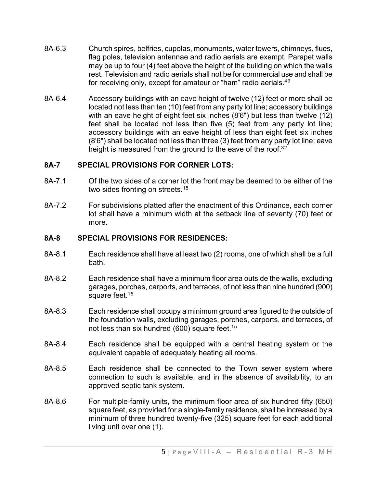- 8A-6.3 Church spires, belfries, cupolas, monuments, water towers, chimneys, flues, flag poles, television antennae and radio aerials are exempt. Parapet walls may be up to four (4) feet above the height of the building on which the walls rest. Television and radio aerials shall not be for commercial use and shall be for receiving only, except for amateur or "ham" radio aerials.4[9](#page-6-20)
- 8A-6.4 Accessory buildings with an eave height of twelve (12) feet or more shall be located not less than ten (10) feet from any party lot line; accessory buildings with an eave height of eight feet six inches (8'6") but less than twelve (12) feet shall be located not less than five (5) feet from any party lot line; accessory buildings with an eave height of less than eight feet six inches (8'6") shall be located not less than three (3) feet from any party lot line; eave height is measured from the ground to the eave of the roof.<sup>3[2](#page-6-21)</sup>

## **8A-7 SPECIAL PROVISIONS FOR CORNER LOTS:**

- 8A-7.1 Of the two sides of a corner lot the front may be deemed to be either of the two sides fronting on streets.<sup>1[5](#page-6-22)</sup>
- 8A-7.2 For subdivisions platted after the enactment of this Ordinance, each corner lot shall have a minimum width at the setback line of seventy (70) feet or more.

### **8A-8 SPECIAL PROVISIONS FOR RESIDENCES:**

- 8A-8.1 Each residence shall have at least two (2) rooms, one of which shall be a full bath.
- 8A-8.2 Each residence shall have a minimum floor area outside the walls, excluding garages, porches, carports, and terraces, of not less than nine hundred (900) square feet.<sup>1[5](#page-6-23)</sup>
- 8A-8.3 Each residence shall occupy a minimum ground area figured to the outside of the foundation walls, excluding garages, porches, carports, and terraces, of not less than six hundred (600) square feet.<sup>1[5](#page-6-24)</sup>
- 8A-8.4 Each residence shall be equipped with a central heating system or the equivalent capable of adequately heating all rooms.
- 8A-8.5 Each residence shall be connected to the Town sewer system where connection to such is available, and in the absence of availability, to an approved septic tank system.
- 8A-8.6 For multiple-family units, the minimum floor area of six hundred fifty (650) square feet, as provided for a single-family residence, shall be increased by a minimum of three hundred twenty-five (325) square feet for each additional living unit over one (1).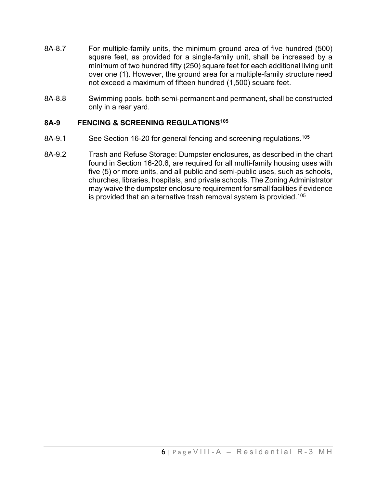- 8A-8.7 For multiple-family units, the minimum ground area of five hundred (500) square feet, as provided for a single-family unit, shall be increased by a minimum of two hundred fifty (250) square feet for each additional living unit over one (1). However, the ground area for a multiple-family structure need not exceed a maximum of fifteen hundred (1,500) square feet.
- 8A-8.8 Swimming pools, both semi-permanent and permanent, shall be constructed only in a rear yard.

## **8A-9 FENCING & SCREENING REGULATIONS[105](#page-6-25)**

- 8A-9.1 See Section 16-20 for general fencing and screening regulations.<sup>[105](#page-6-26)</sup>
- 8A-9.2 Trash and Refuse Storage: Dumpster enclosures, as described in the chart found in Section 16-20.6, are required for all multi-family housing uses with five (5) or more units, and all public and semi-public uses, such as schools, churches, libraries, hospitals, and private schools. The Zoning Administrator may waive the dumpster enclosure requirement for small facilities if evidence is provided that an alternative trash removal system is provided.[105](#page-6-27)